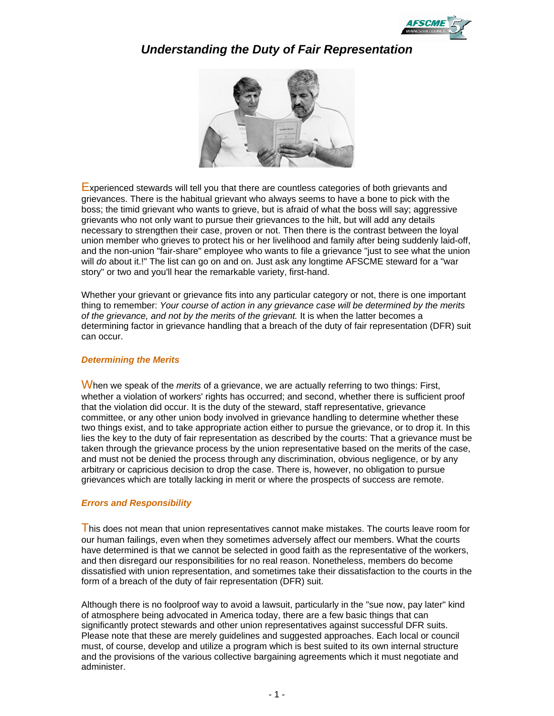

# *Understanding the Duty of Fair Representation*



Experienced stewards will tell you that there are countless categories of both grievants and grievances. There is the habitual grievant who always seems to have a bone to pick with the boss; the timid grievant who wants to grieve, but is afraid of what the boss will say; aggressive grievants who not only want to pursue their grievances to the hilt, but will add any details necessary to strengthen their case, proven or not. Then there is the contrast between the loyal union member who grieves to protect his or her livelihood and family after being suddenly laid-off, and the non-union "fair-share" employee who wants to file a grievance "just to see what the union will *do* about it.!" The list can go on and on. Just ask any longtime AFSCME steward for a "war story" or two and you'll hear the remarkable variety, first-hand.

Whether your grievant or grievance fits into any particular category or not, there is one important thing to remember: *Your course of action in any grievance case will be determined by the merits of the grievance, and not by the merits of the grievant.* It is when the latter becomes a determining factor in grievance handling that a breach of the duty of fair representation (DFR) suit can occur.

#### *Determining the Merits*

When we speak of the *merits* of a grievance, we are actually referring to two things: First, whether a violation of workers' rights has occurred; and second, whether there is sufficient proof that the violation did occur. It is the duty of the steward, staff representative, grievance committee, or any other union body involved in grievance handling to determine whether these two things exist, and to take appropriate action either to pursue the grievance, or to drop it. In this lies the key to the duty of fair representation as described by the courts: That a grievance must be taken through the grievance process by the union representative based on the merits of the case, and must not be denied the process through any discrimination, obvious negligence, or by any arbitrary or capricious decision to drop the case. There is, however, no obligation to pursue grievances which are totally lacking in merit or where the prospects of success are remote.

### *Errors and Responsibility*

This does not mean that union representatives cannot make mistakes. The courts leave room for our human failings, even when they sometimes adversely affect our members. What the courts have determined is that we cannot be selected in good faith as the representative of the workers, and then disregard our responsibilities for no real reason. Nonetheless, members do become dissatisfied with union representation, and sometimes take their dissatisfaction to the courts in the form of a breach of the duty of fair representation (DFR) suit.

Although there is no foolproof way to avoid a lawsuit, particularly in the "sue now, pay later" kind of atmosphere being advocated in America today, there are a few basic things that can significantly protect stewards and other union representatives against successful DFR suits. Please note that these are merely guidelines and suggested approaches. Each local or council must, of course, develop and utilize a program which is best suited to its own internal structure and the provisions of the various collective bargaining agreements which it must negotiate and administer.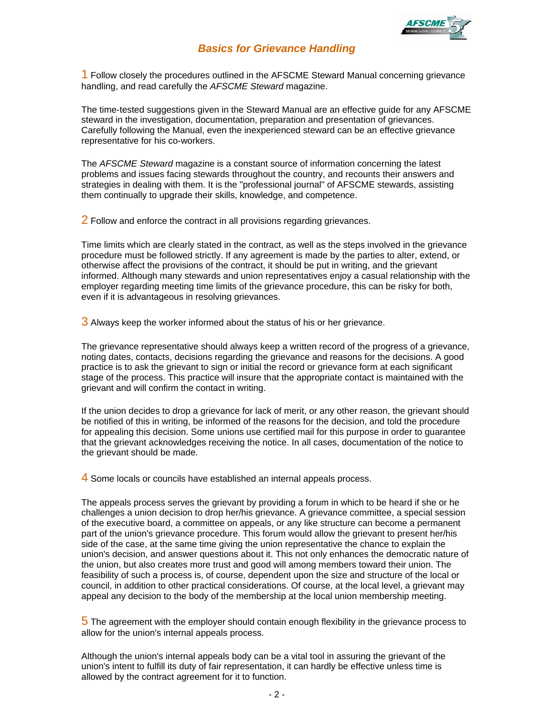

### *Basics for Grievance Handling*

1 Follow closely the procedures outlined in the AFSCME Steward Manual concerning grievance handling, and read carefully the *AFSCME Steward* magazine.

The time-tested suggestions given in the Steward Manual are an effective guide for any AFSCME steward in the investigation, documentation, preparation and presentation of grievances. Carefully following the Manual, even the inexperienced steward can be an effective grievance representative for his co-workers.

The *AFSCME Steward* magazine is a constant source of information concerning the latest problems and issues facing stewards throughout the country, and recounts their answers and strategies in dealing with them. It is the "professional journal" of AFSCME stewards, assisting them continually to upgrade their skills, knowledge, and competence.

2 Follow and enforce the contract in all provisions regarding grievances.

Time limits which are clearly stated in the contract, as well as the steps involved in the grievance procedure must be followed strictly. If any agreement is made by the parties to alter, extend, or otherwise affect the provisions of the contract, it should be put in writing, and the grievant informed. Although many stewards and union representatives enjoy a casual relationship with the employer regarding meeting time limits of the grievance procedure, this can be risky for both, even if it is advantageous in resolving grievances.

3 Always keep the worker informed about the status of his or her grievance.

The grievance representative should always keep a written record of the progress of a grievance, noting dates, contacts, decisions regarding the grievance and reasons for the decisions. A good practice is to ask the grievant to sign or initial the record or grievance form at each significant stage of the process. This practice will insure that the appropriate contact is maintained with the grievant and will confirm the contact in writing.

If the union decides to drop a grievance for lack of merit, or any other reason, the grievant should be notified of this in writing, be informed of the reasons for the decision, and told the procedure for appealing this decision. Some unions use certified mail for this purpose in order to guarantee that the grievant acknowledges receiving the notice. In all cases, documentation of the notice to the grievant should be made.

4 Some locals or councils have established an internal appeals process.

The appeals process serves the grievant by providing a forum in which to be heard if she or he challenges a union decision to drop her/his grievance. A grievance committee, a special session of the executive board, a committee on appeals, or any like structure can become a permanent part of the union's grievance procedure. This forum would allow the grievant to present her/his side of the case, at the same time giving the union representative the chance to explain the union's decision, and answer questions about it. This not only enhances the democratic nature of the union, but also creates more trust and good will among members toward their union. The feasibility of such a process is, of course, dependent upon the size and structure of the local or council, in addition to other practical considerations. Of course, at the local level, a grievant may appeal any decision to the body of the membership at the local union membership meeting.

5 The agreement with the employer should contain enough flexibility in the grievance process to allow for the union's internal appeals process.

Although the union's internal appeals body can be a vital tool in assuring the grievant of the union's intent to fulfill its duty of fair representation, it can hardly be effective unless time is allowed by the contract agreement for it to function.